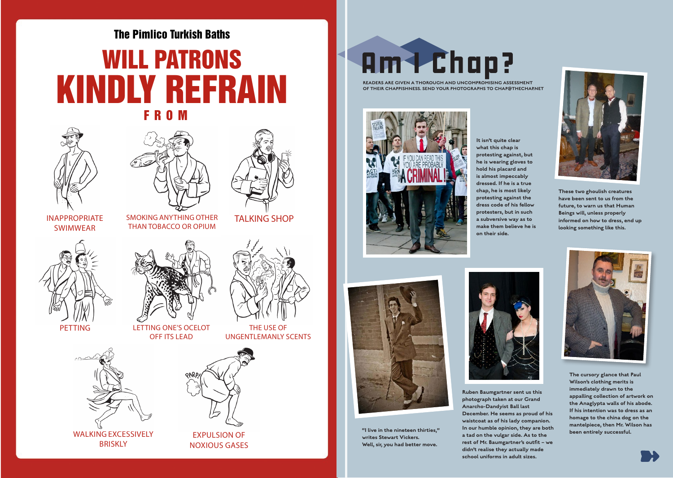## The Pimlico Turkish Baths WILL PATRONS KINDLY REFRAIN FROM





SMOKING ANYTHING OTHER THAN TOBACCO OR OPIUM



TALKING SHOP

THE USE OF UNGENTLEMANLY SCENTS

INAPPROPRIATE SWIMWEAR





PETTING LETTING ONE'S OCELOT OFF ITS LEAD



NOXIOUS GASES

**BRISKLY** 



READERS ARE GIVEN A THOROUGH AND UNCOMPROMISING ASSESSMENT OF THEIR CHAPPISHNESS. SEND YOUR PHOTOGRAPHS TO CHAP@THECHAP.NET



It isn't quite clear what this chap is protesting against, but he is wearing gloves to hold his placard and is almost impeccably dressed. If he is a true chap, he is most likely protesting against the dress code of his fellow protesters, but in such a subversive way as to make them believe he is on their side.



These two ghoulish creatures have been sent to us from the future, to warn us that Human Beings will, unless properly informed on how to dress, end up looking something like this.



"I live in the nineteen thirties," writes Stewart Vickers. Well, sir, you had better move.



Ruben Baumgartner sent us this photograph taken at our Grand Anarcho-Dandyist Ball last December. He seems as proud of his waistcoat as of his lady companion. In our humble opinion, they are both a tad on the vulgar side. As to the rest of Mr. Baumgartner's outfit – we didn't realise they actually made school uniforms in adult sizes.



The cursory glance that Paul Wilson's clothing merits is immediately drawn to the appalling collection of artwork on the Anaglypta walls of his abode. If his intention was to dress as an homage to the china dog on the mantelpiece, then Mr. Wilson has been entirely successful.